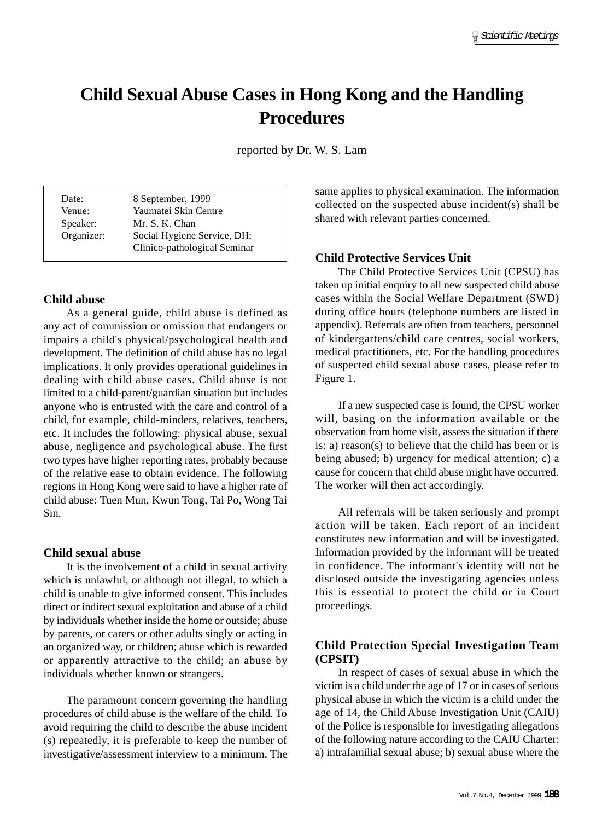# **Child Sexual Abuse Cases in Hong Kong and the Handling Procedures**

reported by Dr. W. S. Lam

| Date:      | 8 September, 1999            |
|------------|------------------------------|
| Venue:     | Yaumatei Skin Centre         |
| Speaker:   | Mr. S. K. Chan               |
| Organizer: | Social Hygiene Service, DH;  |
|            | Clinico-pathological Seminar |

#### **Child abuse**

As a general guide, child abuse is defined as any act of commission or omission that endangers or impairs a child's physical/psychological health and development. The definition of child abuse has no legal implications. It only provides operational guidelines in dealing with child abuse cases. Child abuse is not limited to a child-parent/guardian situation but includes anyone who is entrusted with the care and control of a child, for example, child-minders, relatives, teachers, etc. It includes the following: physical abuse, sexual abuse, negligence and psychological abuse. The first two types have higher reporting rates, probably because of the relative ease to obtain evidence. The following regions in Hong Kong were said to have a higher rate of child abuse: Tuen Mun, Kwun Tong, Tai Po, Wong Tai Sin.

#### **Child sexual abuse**

It is the involvement of a child in sexual activity which is unlawful, or although not illegal, to which a child is unable to give informed consent. This includes direct or indirect sexual exploitation and abuse of a child by individuals whether inside the home or outside; abuse by parents, or carers or other adults singly or acting in an organized way, or children; abuse which is rewarded or apparently attractive to the child; an abuse by individuals whether known or strangers.

The paramount concern governing the handling procedures of child abuse is the welfare of the child. To avoid requiring the child to describe the abuse incident (s) repeatedly, it is preferable to keep the number of investigative/assessment interview to a minimum. The same applies to physical examination. The information collected on the suspected abuse incident(s) shall be shared with relevant parties concerned.

### **Child Protective Services Unit**

The Child Protective Services Unit (CPSU) has taken up initial enquiry to all new suspected child abuse cases within the Social Welfare Department (SWD) during office hours (telephone numbers are listed in appendix). Referrals are often from teachers, personnel of kindergartens/child care centres, social workers, medical practitioners, etc. For the handling procedures of suspected child sexual abuse cases, please refer to Figure 1.

If a new suspected case is found, the CPSU worker will, basing on the information available or the observation from home visit, assess the situation if there is: a) reason(s) to believe that the child has been or is being abused; b) urgency for medical attention; c) a cause for concern that child abuse might have occurred. The worker will then act accordingly.

All referrals will be taken seriously and prompt action will be taken. Each report of an incident constitutes new information and will be investigated. Information provided by the informant will be treated in confidence. The informant's identity will not be disclosed outside the investigating agencies unless this is essential to protect the child or in Court proceedings.

# **Child Protection Special Investigation Team (CPSIT)**

In respect of cases of sexual abuse in which the victim is a child under the age of 17 or in cases of serious physical abuse in which the victim is a child under the age of 14, the Child Abuse Investigation Unit (CAIU) of the Police is responsible for investigating allegations of the following nature according to the CAIU Charter: a) intrafamilial sexual abuse; b) sexual abuse where the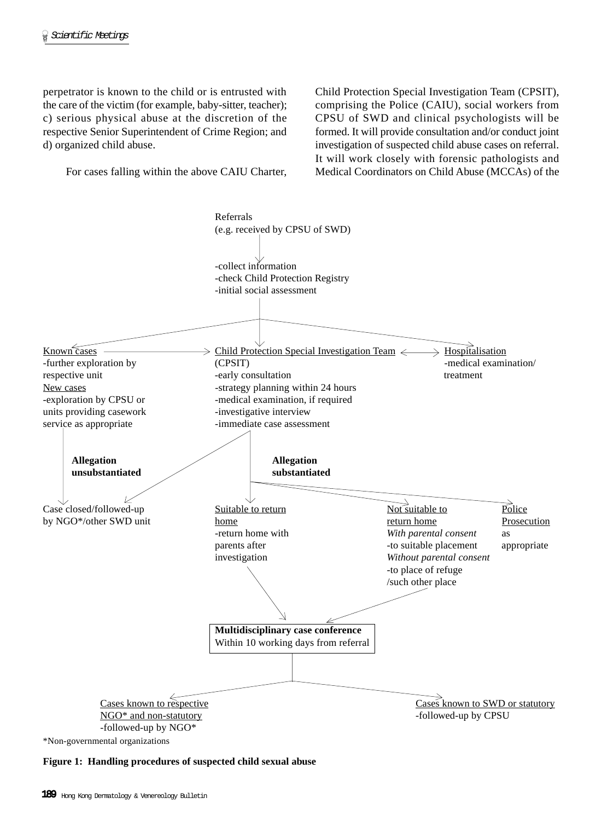perpetrator is known to the child or is entrusted with the care of the victim (for example, baby-sitter, teacher); c) serious physical abuse at the discretion of the respective Senior Superintendent of Crime Region; and d) organized child abuse.

For cases falling within the above CAIU Charter,

Child Protection Special Investigation Team (CPSIT), comprising the Police (CAIU), social workers from CPSU of SWD and clinical psychologists will be formed. It will provide consultation and/or conduct joint investigation of suspected child abuse cases on referral. It will work closely with forensic pathologists and Medical Coordinators on Child Abuse (MCCAs) of the



**Figure 1: Handling procedures of suspected child sexual abuse**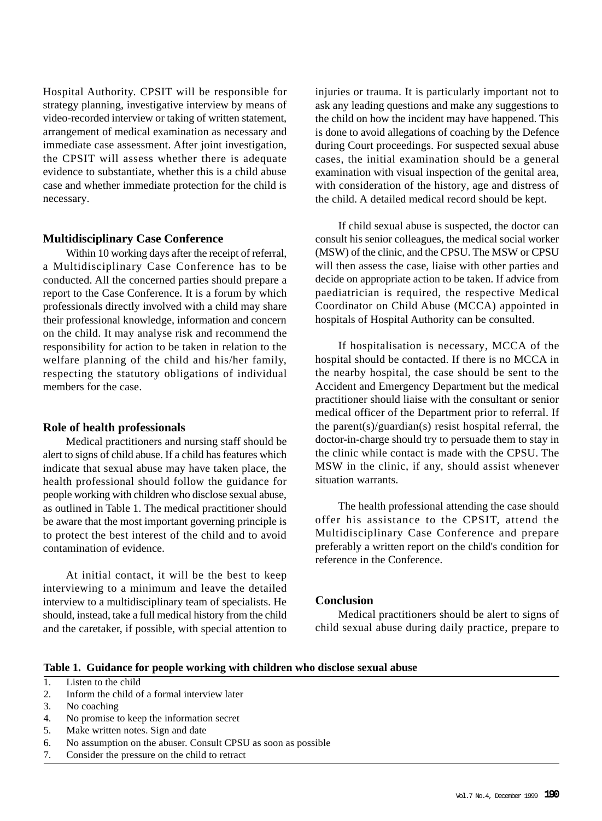Hospital Authority. CPSIT will be responsible for strategy planning, investigative interview by means of video-recorded interview or taking of written statement, arrangement of medical examination as necessary and immediate case assessment. After joint investigation, the CPSIT will assess whether there is adequate evidence to substantiate, whether this is a child abuse case and whether immediate protection for the child is necessary.

### **Multidisciplinary Case Conference**

Within 10 working days after the receipt of referral, a Multidisciplinary Case Conference has to be conducted. All the concerned parties should prepare a report to the Case Conference. It is a forum by which professionals directly involved with a child may share their professional knowledge, information and concern on the child. It may analyse risk and recommend the responsibility for action to be taken in relation to the welfare planning of the child and his/her family, respecting the statutory obligations of individual members for the case.

#### **Role of health professionals**

Medical practitioners and nursing staff should be alert to signs of child abuse. If a child has features which indicate that sexual abuse may have taken place, the health professional should follow the guidance for people working with children who disclose sexual abuse, as outlined in Table 1. The medical practitioner should be aware that the most important governing principle is to protect the best interest of the child and to avoid contamination of evidence.

At initial contact, it will be the best to keep interviewing to a minimum and leave the detailed interview to a multidisciplinary team of specialists. He should, instead, take a full medical history from the child and the caretaker, if possible, with special attention to

injuries or trauma. It is particularly important not to ask any leading questions and make any suggestions to the child on how the incident may have happened. This is done to avoid allegations of coaching by the Defence during Court proceedings. For suspected sexual abuse cases, the initial examination should be a general examination with visual inspection of the genital area, with consideration of the history, age and distress of the child. A detailed medical record should be kept.

If child sexual abuse is suspected, the doctor can consult his senior colleagues, the medical social worker (MSW) of the clinic, and the CPSU. The MSW or CPSU will then assess the case, liaise with other parties and decide on appropriate action to be taken. If advice from paediatrician is required, the respective Medical Coordinator on Child Abuse (MCCA) appointed in hospitals of Hospital Authority can be consulted.

If hospitalisation is necessary, MCCA of the hospital should be contacted. If there is no MCCA in the nearby hospital, the case should be sent to the Accident and Emergency Department but the medical practitioner should liaise with the consultant or senior medical officer of the Department prior to referral. If the parent(s)/guardian(s) resist hospital referral, the doctor-in-charge should try to persuade them to stay in the clinic while contact is made with the CPSU. The MSW in the clinic, if any, should assist whenever situation warrants.

The health professional attending the case should offer his assistance to the CPSIT, attend the Multidisciplinary Case Conference and prepare preferably a written report on the child's condition for reference in the Conference.

#### **Conclusion**

Medical practitioners should be alert to signs of child sexual abuse during daily practice, prepare to

#### **Table 1. Guidance for people working with children who disclose sexual abuse**

# 1. Listen to the child

- 2. Inform the child of a formal interview later
- 3. No coaching
- 4. No promise to keep the information secret
- 5. Make written notes. Sign and date
- 6. No assumption on the abuser. Consult CPSU as soon as possible
- 7. Consider the pressure on the child to retract